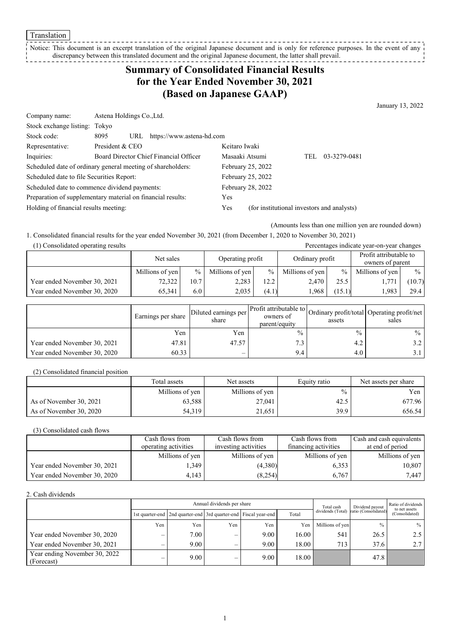**Translation** 

#### Notice: This document is an excerpt translation of the original Japanese document and is only for reference purposes. In the event of any discrepancy between this translated document and the original Japanese document, the latter shall prevail.

## **Summary of Consolidated Financial Results for the Year Ended November 30, 2021 (Based on Japanese GAAP)**

January 13, 2022

| Company name:                                               | Astena Holdings Co., Ltd.                                   |                          |                                            |     |              |  |
|-------------------------------------------------------------|-------------------------------------------------------------|--------------------------|--------------------------------------------|-----|--------------|--|
| Stock exchange listing: Tokyo                               |                                                             |                          |                                            |     |              |  |
| Stock code:                                                 | 8095<br>https://www.astena-hd.com<br>URL                    |                          |                                            |     |              |  |
| Representative:                                             | President & CEO                                             | Keitaro Iwaki            |                                            |     |              |  |
| Inquiries:                                                  | Board Director Chief Financial Officer                      | Masaaki Atsumi           |                                            | TEL | 03-3279-0481 |  |
|                                                             | Scheduled date of ordinary general meeting of shareholders: | February 25, 2022        |                                            |     |              |  |
| Scheduled date to file Securities Report:                   |                                                             | February 25, 2022        |                                            |     |              |  |
| Scheduled date to commence dividend payments:               |                                                             | <b>February 28, 2022</b> |                                            |     |              |  |
| Preparation of supplementary material on financial results: |                                                             | Yes                      |                                            |     |              |  |
| Holding of financial results meeting:                       |                                                             | Yes                      | (for institutional investors and analysts) |     |              |  |
|                                                             |                                                             |                          |                                            |     |              |  |

(Amounts less than one million yen are rounded down)

1. Consolidated financial results for the year ended November 30, 2021 (from December 1, 2020 to November 30, 2021) (1) Consolidated operating results Percentages indicate year-on-year changes

| $(1)$ consolidation operating reserve |                 |      |                  |               |                 |        |                                            |               |  |
|---------------------------------------|-----------------|------|------------------|---------------|-----------------|--------|--------------------------------------------|---------------|--|
|                                       | Net sales       |      | Operating profit |               | Ordinary profit |        | Profit attributable to<br>owners of parent |               |  |
|                                       | Millions of yen | $\%$ | Millions of yen  | $\frac{0}{0}$ | Millions of yen | $\%$   | Millions of yen                            | $\frac{0}{0}$ |  |
| Year ended November 30, 2021          | 72,322          | 10.7 | 2.283            | 12.2          | 2.470           | 25.5   | 1,77                                       | (10.7)        |  |
| Year ended November 30, 2020          | 65.341          | 6.0  | 2.035            | (4.1)         | .968            | (15.1) | .983                                       | 29.4          |  |

|                              | Earnings per share | Diluted earnings per<br>share | er Profit attributable to Ordinary profit/total Operating profit/net '<br>owners of<br>parent/equity | assets        | sales            |
|------------------------------|--------------------|-------------------------------|------------------------------------------------------------------------------------------------------|---------------|------------------|
|                              | Yen                | Yen                           | $\frac{0}{0}$                                                                                        | $\frac{0}{0}$ | $\%$             |
| Year ended November 30, 2021 | 47.81              | 47.57                         |                                                                                                      | 4.2           | 3.2              |
| Year ended November 30, 2020 | 60.33              | $\overline{\phantom{0}}$      | 9.4                                                                                                  | 4.0           | 3.1 <sub>1</sub> |

(2) Consolidated financial position

|                         | Total assets    | Net assets      | Equity ratio  | Net assets per share |
|-------------------------|-----------------|-----------------|---------------|----------------------|
|                         | Millions of yen | Millions of yen | $\frac{0}{0}$ | Yen l                |
| As of November 30, 2021 | 63,588          | 27,041          | 42.5          | 677.96               |
| As of November 30, 2020 | 54,319          | 21,651          | 39.9          | 656.54               |

(3) Consolidated cash flows

|                              | Cash flows from      | Cash flows from      | Cash flows from      | Cash and cash equivalents |
|------------------------------|----------------------|----------------------|----------------------|---------------------------|
|                              | operating activities | investing activities | financing activities | at end of period          |
|                              | Millions of yen      | Millions of yen      | Millions of yen      | Millions of yen           |
| Year ended November 30, 2021 | .349                 | (4,380)              | 6.353                | 10,807                    |
| Year ended November 30, 2020 | 4.143                | (8,254)              | 6.767                | 7.447                     |

2. Cash dividends

|                                             |     |                                                                       | Annual dividends per share | Total cash | Dividend payout | Ratio of dividends<br>to net assets |                      |                |
|---------------------------------------------|-----|-----------------------------------------------------------------------|----------------------------|------------|-----------------|-------------------------------------|----------------------|----------------|
|                                             |     | 1st quarter-end   2nd quarter-end   3rd quarter-end   Fiscal year-end |                            |            | Total           | dividends (Total)                   | ratio (Consolidated) | (Consolidated) |
|                                             | Yen | Yen                                                                   | Yen                        | Yen        | Yen             | Millions of yen                     | $\%$                 | $\%$           |
| Year ended November 30, 2020                |     | 7.00                                                                  |                            | 9.00       | 16.00           | 541                                 | 26.5                 |                |
| Year ended November 30, 2021                |     | 9.00                                                                  | _                          | 9.00       | 18.00           | 713                                 | 37.6                 | 2.7            |
| Year ending November 30, 2022<br>(Forecast) | –   | 9.00                                                                  | _                          | 9.00       | 18.00           |                                     | 47.8                 |                |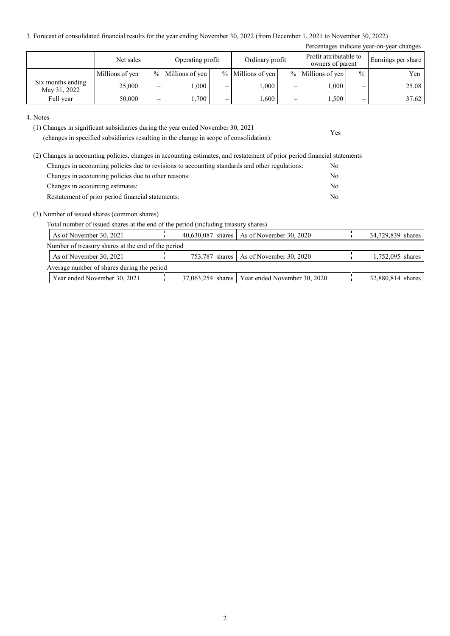3. Forecast of consolidated financial results for the year ending November 30, 2022 (from December 1, 2021 to November 30, 2022)

|                                   |                 |   |                   |   |                     |   |                                            |               | Percentages indicate year-on-year changes |
|-----------------------------------|-----------------|---|-------------------|---|---------------------|---|--------------------------------------------|---------------|-------------------------------------------|
|                                   | Net sales       |   | Operating profit  |   | Ordinary profit     |   | Profit attributable to<br>owners of parent |               | Earnings per share                        |
|                                   | Millions of yen |   | % Millions of yen |   | $%$ Millions of yen |   | $%$ Millions of yen                        | $\frac{0}{0}$ | Yen                                       |
| Six months ending<br>May 31, 2022 | 25,000          | – | 000.1             | _ | 000.1               | - | 000.1                                      | –             | 25.08                                     |
| Full year                         | 50,000          |   | .,700             |   | 1,600               | – | 1,500                                      |               | 37.62                                     |

Yes

4. Notes

(1) Changes in significant subsidiaries during the year ended November 30, 2021

(changes in specified subsidiaries resulting in the change in scope of consolidation):

| (2) Changes in accounting policies, changes in accounting estimates, and restatement of prior period financial statements |                |
|---------------------------------------------------------------------------------------------------------------------------|----------------|
| Changes in accounting policies due to revisions to accounting standards and other regulations:                            | No.            |
| Changes in accounting policies due to other reasons:                                                                      | No             |
| Changes in accounting estimates:                                                                                          | No             |
| Restatement of prior period financial statements:                                                                         | N <sub>0</sub> |

(3) Number of issued shares (common shares)

Total number of issued shares at the end of the period (including treasury shares)

| As of November 30, 2021                            |  | 40,630,087 shares   As of November 30, 2020      | 34,729,839 shares |
|----------------------------------------------------|--|--------------------------------------------------|-------------------|
| Number of treasury shares at the end of the period |  |                                                  |                   |
| As of November 30, 2021                            |  | 753,787 shares   As of November 30, 2020         | 1,752,095 shares  |
| Average number of shares during the period         |  |                                                  |                   |
| Year ended November 30, 2021                       |  | 37,063,254 shares   Year ended November 30, 2020 | 32,880,814 shares |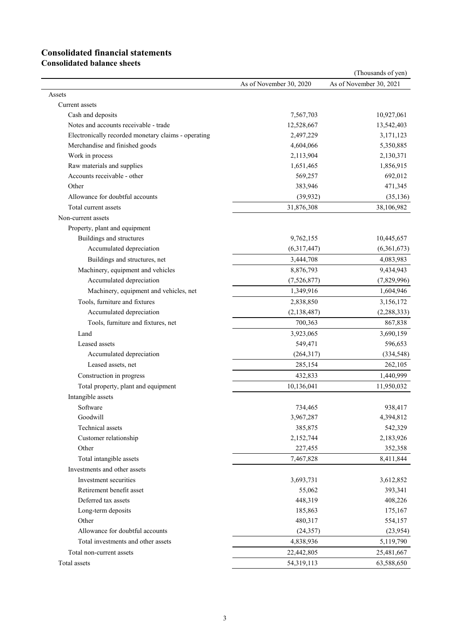# **Consolidated financial statements**

**Consolidated balance sheets**

|                                                     |                         | (Thousands of yen)      |
|-----------------------------------------------------|-------------------------|-------------------------|
|                                                     | As of November 30, 2020 | As of November 30, 2021 |
| Assets                                              |                         |                         |
| Current assets                                      |                         |                         |
| Cash and deposits                                   | 7,567,703               | 10,927,061              |
| Notes and accounts receivable - trade               | 12,528,667              | 13,542,403              |
| Electronically recorded monetary claims - operating | 2,497,229               | 3,171,123               |
| Merchandise and finished goods                      | 4,604,066               | 5,350,885               |
| Work in process                                     | 2,113,904               | 2,130,371               |
| Raw materials and supplies                          | 1,651,465               | 1,856,915               |
| Accounts receivable - other                         | 569,257                 | 692,012                 |
| Other                                               | 383,946                 | 471,345                 |
| Allowance for doubtful accounts                     | (39, 932)               | (35, 136)               |
| Total current assets                                | 31,876,308              | 38,106,982              |
| Non-current assets                                  |                         |                         |
| Property, plant and equipment                       |                         |                         |
| Buildings and structures                            | 9,762,155               | 10,445,657              |
| Accumulated depreciation                            | (6,317,447)             | (6,361,673)             |
| Buildings and structures, net                       | 3,444,708               | 4,083,983               |
| Machinery, equipment and vehicles                   | 8,876,793               | 9,434,943               |
| Accumulated depreciation                            | (7,526,877)             | (7,829,996)             |
| Machinery, equipment and vehicles, net              | 1,349,916               | 1,604,946               |
| Tools, furniture and fixtures                       | 2,838,850               | 3,156,172               |
| Accumulated depreciation                            | (2, 138, 487)           | (2, 288, 333)           |
| Tools, furniture and fixtures, net                  | 700,363                 | 867,838                 |
| Land                                                | 3,923,065               | 3,690,159               |
| Leased assets                                       | 549,471                 | 596,653                 |
| Accumulated depreciation                            | (264,317)               | (334, 548)              |
| Leased assets, net                                  | 285,154                 | 262,105                 |
| Construction in progress                            | 432,833                 | 1,440,999               |
| Total property, plant and equipment                 | 10,136,041              | 11,950,032              |
| Intangible assets                                   |                         |                         |
| Software                                            | 734,465                 | 938,417                 |
| Goodwill                                            | 3,967,287               | 4,394,812               |
| Technical assets                                    | 385,875                 | 542,329                 |
| Customer relationship                               | 2,152,744               | 2,183,926               |
| Other                                               | 227,455                 | 352,358                 |
| Total intangible assets                             | 7,467,828               | 8,411,844               |
| Investments and other assets                        |                         |                         |
| Investment securities                               | 3,693,731               | 3,612,852               |
| Retirement benefit asset                            | 55,062                  | 393,341                 |
| Deferred tax assets                                 | 448,319                 | 408,226                 |
| Long-term deposits                                  | 185,863                 | 175,167                 |
| Other                                               | 480,317                 | 554,157                 |
| Allowance for doubtful accounts                     | (24, 357)               | (23,954)                |
| Total investments and other assets                  | 4,838,936               | 5,119,790               |
| Total non-current assets                            | 22,442,805              | 25,481,667              |
| Total assets                                        | 54,319,113              | 63,588,650              |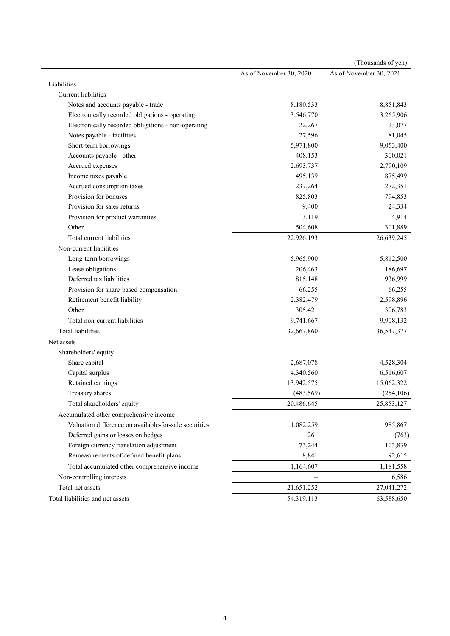|                                                       |                         | (Thousands of yen)      |
|-------------------------------------------------------|-------------------------|-------------------------|
|                                                       | As of November 30, 2020 | As of November 30, 2021 |
| Liabilities                                           |                         |                         |
| Current liabilities                                   |                         |                         |
| Notes and accounts payable - trade                    | 8,180,533               | 8,851,843               |
| Electronically recorded obligations - operating       | 3,546,770               | 3,265,906               |
| Electronically recorded obligations - non-operating   | 22,267                  | 23,077                  |
| Notes payable - facilities                            | 27,596                  | 81,045                  |
| Short-term borrowings                                 | 5,971,800               | 9,053,400               |
| Accounts payable - other                              | 408,153                 | 300,021                 |
| Accrued expenses                                      | 2,693,737               | 2,790,109               |
| Income taxes payable                                  | 495,139                 | 875,499                 |
| Accrued consumption taxes                             | 237,264                 | 272,351                 |
| Provision for bonuses                                 | 825,803                 | 794,853                 |
| Provision for sales returns                           | 9,400                   | 24,334                  |
| Provision for product warranties                      | 3,119                   | 4,914                   |
| Other                                                 | 504,608                 | 301,889                 |
| Total current liabilities                             | 22,926,193              | 26,639,245              |
| Non-current liabilities                               |                         |                         |
| Long-term borrowings                                  | 5,965,900               | 5,812,500               |
| Lease obligations                                     | 206,463                 | 186,697                 |
| Deferred tax liabilities                              | 815,148                 | 936,999                 |
| Provision for share-based compensation                | 66,255                  | 66,255                  |
| Retirement benefit liability                          | 2,382,479               | 2,598,896               |
| Other                                                 | 305,421                 | 306,783                 |
| Total non-current liabilities                         | 9,741,667               | 9,908,132               |
| Total liabilities                                     | 32,667,860              | 36,547,377              |
| Net assets                                            |                         |                         |
| Shareholders' equity                                  |                         |                         |
| Share capital                                         | 2,687,078               | 4,528,304               |
| Capital surplus                                       | 4,340,560               | 6,516,607               |
| Retained earnings                                     | 13,942,575              | 15,062,322              |
| Treasury shares                                       | (483, 569)              | (254, 106)              |
| Total shareholders' equity                            | 20,486,645              | 25,853,127              |
| Accumulated other comprehensive income                |                         |                         |
| Valuation difference on available-for-sale securities | 1,082,259               | 985,867                 |
| Deferred gains or losses on hedges                    | 261                     | (763)                   |
| Foreign currency translation adjustment               | 73,244                  | 103,839                 |
| Remeasurements of defined benefit plans               | 8,841                   | 92,615                  |
| Total accumulated other comprehensive income          | 1,164,607               | 1,181,558               |
| Non-controlling interests                             |                         | 6,586                   |
| Total net assets                                      | 21,651,252              | 27,041,272              |
| Total liabilities and net assets                      | 54,319,113              | 63,588,650              |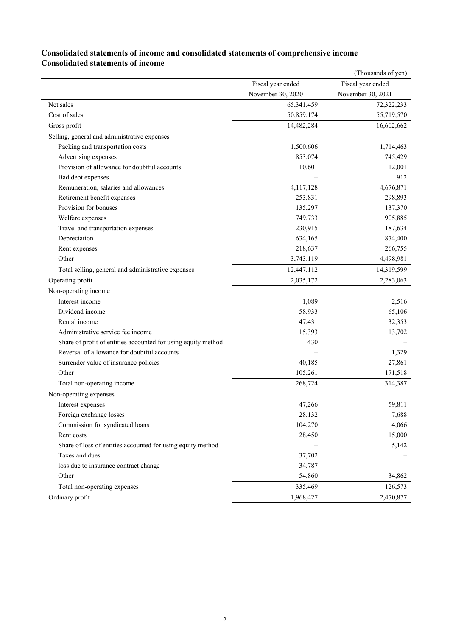|                                                               |                   | (Thousands of yen) |
|---------------------------------------------------------------|-------------------|--------------------|
|                                                               | Fiscal year ended | Fiscal year ended  |
|                                                               | November 30, 2020 | November 30, 2021  |
| Net sales                                                     | 65,341,459        | 72,322,233         |
| Cost of sales                                                 | 50,859,174        | 55,719,570         |
| Gross profit                                                  | 14,482,284        | 16,602,662         |
| Selling, general and administrative expenses                  |                   |                    |
| Packing and transportation costs                              | 1,500,606         | 1,714,463          |
| Advertising expenses                                          | 853,074           | 745,429            |
| Provision of allowance for doubtful accounts                  | 10,601            | 12,001             |
| Bad debt expenses                                             |                   | 912                |
| Remuneration, salaries and allowances                         | 4,117,128         | 4,676,871          |
| Retirement benefit expenses                                   | 253,831           | 298,893            |
| Provision for bonuses                                         | 135,297           | 137,370            |
| Welfare expenses                                              | 749,733           | 905,885            |
| Travel and transportation expenses                            | 230,915           | 187,634            |
| Depreciation                                                  | 634,165           | 874,400            |
| Rent expenses                                                 | 218,637           | 266,755            |
| Other                                                         | 3,743,119         | 4,498,981          |
| Total selling, general and administrative expenses            | 12,447,112        | 14,319,599         |
| Operating profit                                              | 2,035,172         | 2,283,063          |
| Non-operating income                                          |                   |                    |
| Interest income                                               | 1,089             | 2,516              |
| Dividend income                                               | 58,933            | 65,106             |
| Rental income                                                 | 47,431            | 32,353             |
| Administrative service fee income                             | 15,393            | 13,702             |
| Share of profit of entities accounted for using equity method | 430               |                    |
| Reversal of allowance for doubtful accounts                   |                   | 1,329              |
| Surrender value of insurance policies                         | 40,185            | 27,861             |
| Other                                                         | 105,261           | 171,518            |
| Total non-operating income                                    | 268,724           | 314,387            |
| Non-operating expenses                                        |                   |                    |
| Interest expenses                                             | 47,266            | 59,811             |
| Foreign exchange losses                                       | 28,132            | 7,688              |
| Commission for syndicated loans                               | 104,270           | 4,066              |
| Rent costs                                                    | 28,450            | 15,000             |
| Share of loss of entities accounted for using equity method   |                   | 5,142              |
| Taxes and dues                                                | 37,702            |                    |
| loss due to insurance contract change                         | 34,787            |                    |
| Other                                                         | 54,860            | 34,862             |
| Total non-operating expenses                                  | 335,469           | 126,573            |
| Ordinary profit                                               | 1,968,427         | 2,470,877          |

### **Consolidated statements of income and consolidated statements of comprehensive income Consolidated statements of income**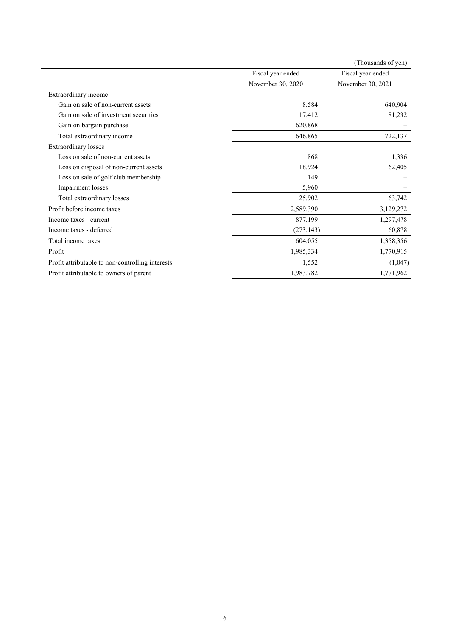|                                                  |                   | (Thousands of yen) |
|--------------------------------------------------|-------------------|--------------------|
|                                                  | Fiscal year ended | Fiscal year ended  |
|                                                  | November 30, 2020 | November 30, 2021  |
| Extraordinary income                             |                   |                    |
| Gain on sale of non-current assets               | 8,584             | 640,904            |
| Gain on sale of investment securities            | 17,412            | 81,232             |
| Gain on bargain purchase                         | 620,868           |                    |
| Total extraordinary income                       | 646,865           | 722,137            |
| <b>Extraordinary losses</b>                      |                   |                    |
| Loss on sale of non-current assets               | 868               | 1,336              |
| Loss on disposal of non-current assets           | 18,924            | 62,405             |
| Loss on sale of golf club membership             | 149               |                    |
| Impairment losses                                | 5,960             |                    |
| Total extraordinary losses                       | 25,902            | 63,742             |
| Profit before income taxes                       | 2,589,390         | 3,129,272          |
| Income taxes - current                           | 877,199           | 1,297,478          |
| Income taxes - deferred                          | (273, 143)        | 60,878             |
| Total income taxes                               | 604,055           | 1,358,356          |
| Profit                                           | 1,985,334         | 1,770,915          |
| Profit attributable to non-controlling interests | 1,552             | (1,047)            |
| Profit attributable to owners of parent          | 1,983,782         | 1,771,962          |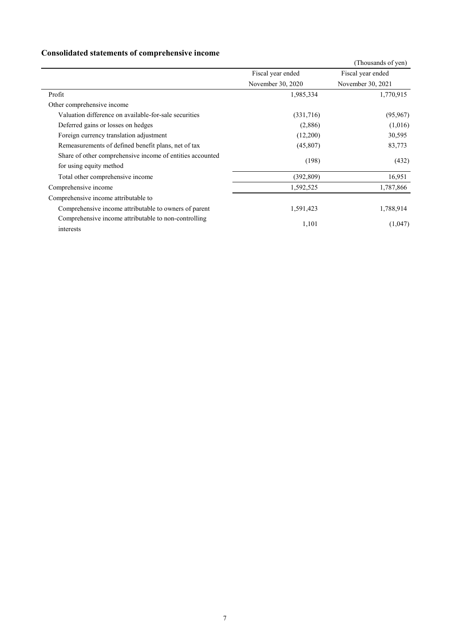### **Consolidated statements of comprehensive income**

|                                                           |                   | (Thousands of yen) |  |
|-----------------------------------------------------------|-------------------|--------------------|--|
|                                                           | Fiscal year ended | Fiscal year ended  |  |
|                                                           | November 30, 2020 | November 30, 2021  |  |
| Profit                                                    | 1,985,334         | 1,770,915          |  |
| Other comprehensive income                                |                   |                    |  |
| Valuation difference on available-for-sale securities     | (331,716)         | (95, 967)          |  |
| Deferred gains or losses on hedges                        | (2,886)           | (1,016)            |  |
| Foreign currency translation adjustment                   | (12,200)          | 30,595             |  |
| Remeasurements of defined benefit plans, net of tax       | (45,807)          | 83,773             |  |
| Share of other comprehensive income of entities accounted | (198)             | (432)              |  |
| for using equity method                                   |                   |                    |  |
| Total other comprehensive income                          | (392, 809)        | 16,951             |  |
| Comprehensive income                                      | 1,592,525         | 1,787,866          |  |
| Comprehensive income attributable to                      |                   |                    |  |
| Comprehensive income attributable to owners of parent     | 1,591,423         | 1,788,914          |  |
| Comprehensive income attributable to non-controlling      |                   |                    |  |
| interests                                                 | 1,101             | (1,047)            |  |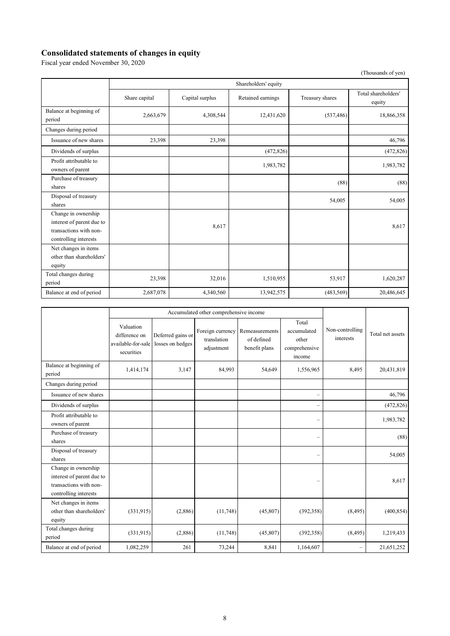#### **Consolidated statements of changes in equity**

Fiscal year ended November 30, 2020

 (Thousands of yen) Shareholders' equity Share capital Capital surplus Retained earnings Treasury shares Total shareholders' equity Balance at beginning of period 2,663,679 18,866,358 18,866,358 12,431,620 (537,486) 18,866,358 Changes during period Issuance of new shares 23,398 23,398 23,398 23,398 23,398 25,398 25,398 25,398 25,46,796 Dividends of surplus (472,826) (472,826) (472,826) (472,826) Profit attributable to owners of parent 1,983,782 1,983,782 Purchase of treasury  $\frac{1}{\text{shares}}$  (88) (88) Disposal of treasury  $\frac{54,005}{54,005}$  54,005 Change in ownership interest of parent due to transactions with noncontrolling interests  $8,617$  8,617 Net changes in items other than shareholders' equity Total changes during period 1,620,287<br>period 23,398 32,016 1,510,955 53,917 1,620,287 Balance at end of period 2,687,078 4,340,560 13,942,575 (483,569) 20,486,645

|                                                                                                     | Accumulated other comprehensive income                         |                                       |                                               |                                               |                                                          |                              |                  |
|-----------------------------------------------------------------------------------------------------|----------------------------------------------------------------|---------------------------------------|-----------------------------------------------|-----------------------------------------------|----------------------------------------------------------|------------------------------|------------------|
|                                                                                                     | Valuation<br>difference on<br>available-for-sale<br>securities | Deferred gains or<br>losses on hedges | Foreign currency<br>translation<br>adjustment | Remeasurements<br>of defined<br>benefit plans | Total<br>accumulated<br>other<br>comprehensive<br>income | Non-controlling<br>interests | Total net assets |
| Balance at beginning of<br>period                                                                   | 1,414,174                                                      | 3,147                                 | 84,993                                        | 54,649                                        | 1,556,965                                                | 8,495                        | 20,431,819       |
| Changes during period                                                                               |                                                                |                                       |                                               |                                               |                                                          |                              |                  |
| Issuance of new shares                                                                              |                                                                |                                       |                                               |                                               | $\overline{\phantom{0}}$                                 |                              | 46,796           |
| Dividends of surplus                                                                                |                                                                |                                       |                                               |                                               | $\overline{\phantom{0}}$                                 |                              | (472, 826)       |
| Profit attributable to<br>owners of parent                                                          |                                                                |                                       |                                               |                                               | $\overline{\phantom{0}}$                                 |                              | 1,983,782        |
| Purchase of treasury<br>shares                                                                      |                                                                |                                       |                                               |                                               | $\overline{\phantom{0}}$                                 |                              | (88)             |
| Disposal of treasury<br>shares                                                                      |                                                                |                                       |                                               |                                               | $\overline{\phantom{0}}$                                 |                              | 54,005           |
| Change in ownership<br>interest of parent due to<br>transactions with non-<br>controlling interests |                                                                |                                       |                                               |                                               |                                                          |                              | 8,617            |
| Net changes in items<br>other than shareholders'<br>equity                                          | (331,915)                                                      | (2,886)                               | (11,748)                                      | (45,807)                                      | (392, 358)                                               | (8, 495)                     | (400, 854)       |
| Total changes during<br>period                                                                      | (331, 915)                                                     | (2,886)                               | (11,748)                                      | (45,807)                                      | (392, 358)                                               | (8, 495)                     | 1,219,433        |
| Balance at end of period                                                                            | 1,082,259                                                      | 261                                   | 73,244                                        | 8,841                                         | 1,164,607                                                | $\overline{\phantom{0}}$     | 21,651,252       |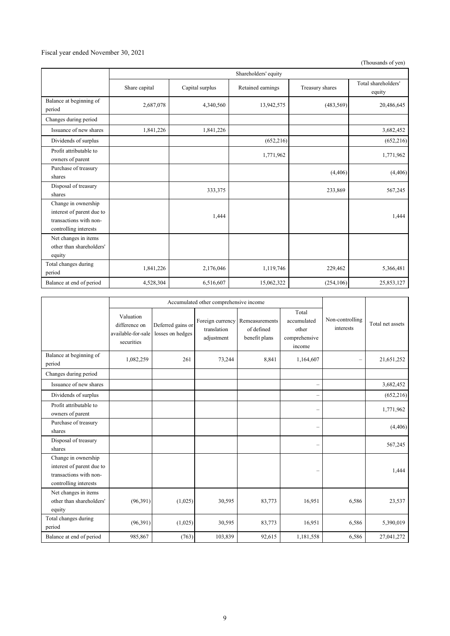#### Fiscal year ended November 30, 2021

(Thousands of yen)

|                                                                                                     | Shareholders' equity |                 |                   |                 |                               |  |
|-----------------------------------------------------------------------------------------------------|----------------------|-----------------|-------------------|-----------------|-------------------------------|--|
|                                                                                                     | Share capital        | Capital surplus | Retained earnings | Treasury shares | Total shareholders'<br>equity |  |
| Balance at beginning of<br>period                                                                   | 2,687,078            | 4,340,560       | 13,942,575        | (483, 569)      | 20,486,645                    |  |
| Changes during period                                                                               |                      |                 |                   |                 |                               |  |
| Issuance of new shares                                                                              | 1,841,226            | 1,841,226       |                   |                 | 3,682,452                     |  |
| Dividends of surplus                                                                                |                      |                 | (652,216)         |                 | (652, 216)                    |  |
| Profit attributable to<br>owners of parent                                                          |                      |                 | 1,771,962         |                 | 1,771,962                     |  |
| Purchase of treasury<br>shares                                                                      |                      |                 |                   | (4, 406)        | (4,406)                       |  |
| Disposal of treasury<br>shares                                                                      |                      | 333,375         |                   | 233,869         | 567,245                       |  |
| Change in ownership<br>interest of parent due to<br>transactions with non-<br>controlling interests |                      | 1,444           |                   |                 | 1,444                         |  |
| Net changes in items<br>other than shareholders'<br>equity                                          |                      |                 |                   |                 |                               |  |
| Total changes during<br>period                                                                      | 1,841,226            | 2,176,046       | 1,119,746         | 229,462         | 5,366,481                     |  |
| Balance at end of period                                                                            | 4,528,304            | 6,516,607       | 15,062,322        | (254, 106)      | 25,853,127                    |  |

|                                                                                                     | Accumulated other comprehensive income                         |                                       |                                               |                                               |                                                          |                              |                  |
|-----------------------------------------------------------------------------------------------------|----------------------------------------------------------------|---------------------------------------|-----------------------------------------------|-----------------------------------------------|----------------------------------------------------------|------------------------------|------------------|
|                                                                                                     | Valuation<br>difference on<br>available-for-sale<br>securities | Deferred gains or<br>losses on hedges | Foreign currency<br>translation<br>adjustment | Remeasurements<br>of defined<br>benefit plans | Total<br>accumulated<br>other<br>comprehensive<br>income | Non-controlling<br>interests | Total net assets |
| Balance at beginning of<br>period                                                                   | 1,082,259                                                      | 261                                   | 73,244                                        | 8,841                                         | 1,164,607                                                | $\overline{\phantom{0}}$     | 21,651,252       |
| Changes during period                                                                               |                                                                |                                       |                                               |                                               |                                                          |                              |                  |
| Issuance of new shares                                                                              |                                                                |                                       |                                               |                                               | $\overline{\phantom{0}}$                                 |                              | 3,682,452        |
| Dividends of surplus                                                                                |                                                                |                                       |                                               |                                               | $\overline{\phantom{0}}$                                 |                              | (652, 216)       |
| Profit attributable to<br>owners of parent                                                          |                                                                |                                       |                                               |                                               | $\overline{\phantom{0}}$                                 |                              | 1,771,962        |
| Purchase of treasury<br>shares                                                                      |                                                                |                                       |                                               |                                               | $\overline{\phantom{0}}$                                 |                              | (4, 406)         |
| Disposal of treasury<br>shares                                                                      |                                                                |                                       |                                               |                                               | —                                                        |                              | 567,245          |
| Change in ownership<br>interest of parent due to<br>transactions with non-<br>controlling interests |                                                                |                                       |                                               |                                               |                                                          |                              | 1.444            |
| Net changes in items<br>other than shareholders'<br>equity                                          | (96,391)                                                       | (1,025)                               | 30,595                                        | 83,773                                        | 16,951                                                   | 6,586                        | 23,537           |
| Total changes during<br>period                                                                      | (96,391)                                                       | (1,025)                               | 30,595                                        | 83,773                                        | 16,951                                                   | 6,586                        | 5,390,019        |
| Balance at end of period                                                                            | 985,867                                                        | (763)                                 | 103,839                                       | 92,615                                        | 1,181,558                                                | 6,586                        | 27,041,272       |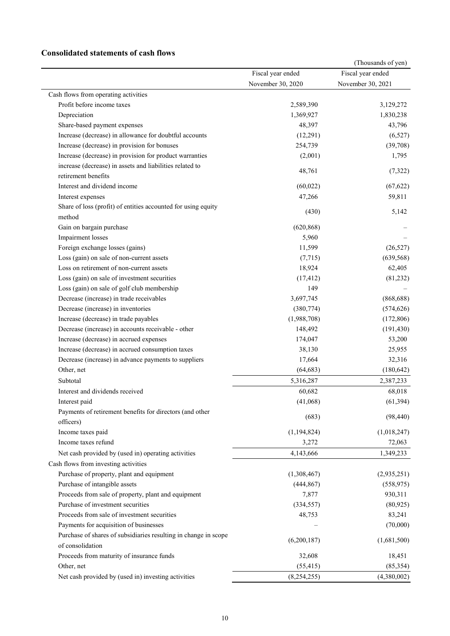### **Consolidated statements of cash flows**

|                                                                 |                   | (Thousands of yen) |
|-----------------------------------------------------------------|-------------------|--------------------|
|                                                                 | Fiscal year ended | Fiscal year ended  |
|                                                                 | November 30, 2020 | November 30, 2021  |
| Cash flows from operating activities                            |                   |                    |
| Profit before income taxes                                      | 2,589,390         | 3,129,272          |
| Depreciation                                                    | 1,369,927         | 1,830,238          |
| Share-based payment expenses                                    | 48,397            | 43,796             |
| Increase (decrease) in allowance for doubtful accounts          | (12,291)          | (6,527)            |
| Increase (decrease) in provision for bonuses                    | 254,739           | (39,708)           |
| Increase (decrease) in provision for product warranties         | (2,001)           | 1,795              |
| increase (decrease) in assets and liabilities related to        |                   |                    |
| retirement benefits                                             | 48,761            | (7, 322)           |
| Interest and dividend income                                    | (60, 022)         | (67, 622)          |
| Interest expenses                                               | 47,266            | 59,811             |
| Share of loss (profit) of entities accounted for using equity   |                   |                    |
| method                                                          | (430)             | 5,142              |
| Gain on bargain purchase                                        | (620, 868)        |                    |
| Impairment losses                                               | 5,960             |                    |
| Foreign exchange losses (gains)                                 | 11,599            | (26, 527)          |
| Loss (gain) on sale of non-current assets                       | (7,715)           | (639, 568)         |
| Loss on retirement of non-current assets                        | 18,924            | 62,405             |
| Loss (gain) on sale of investment securities                    | (17, 412)         | (81,232)           |
| Loss (gain) on sale of golf club membership                     | 149               |                    |
| Decrease (increase) in trade receivables                        | 3,697,745         | (868, 688)         |
|                                                                 |                   |                    |
| Decrease (increase) in inventories                              | (380, 774)        | (574, 626)         |
| Increase (decrease) in trade payables                           | (1,988,708)       | (172, 806)         |
| Decrease (increase) in accounts receivable - other              | 148,492           | (191, 430)         |
| Increase (decrease) in accrued expenses                         | 174,047           | 53,200             |
| Increase (decrease) in accrued consumption taxes                | 38,130            | 25,955             |
| Decrease (increase) in advance payments to suppliers            | 17,664            | 32,316             |
| Other, net                                                      | (64, 683)         | (180, 642)         |
| Subtotal                                                        | 5,316,287         | 2,387,233          |
| Interest and dividends received                                 | 60,682            | 68,018             |
| Interest paid                                                   | (41,068)          | (61, 394)          |
| Payments of retirement benefits for directors (and other        | (683)             | (98, 440)          |
| officers)                                                       |                   |                    |
| Income taxes paid                                               | (1, 194, 824)     | (1,018,247)        |
| Income taxes refund                                             | 3,272             | 72,063             |
| Net cash provided by (used in) operating activities             | 4,143,666         | 1,349,233          |
| Cash flows from investing activities                            |                   |                    |
| Purchase of property, plant and equipment                       | (1,308,467)       | (2,935,251)        |
| Purchase of intangible assets                                   | (444, 867)        | (558, 975)         |
| Proceeds from sale of property, plant and equipment             | 7,877             | 930,311            |
| Purchase of investment securities                               | (334, 557)        | (80, 925)          |
| Proceeds from sale of investment securities                     | 48,753            | 83,241             |
| Payments for acquisition of businesses                          |                   | (70,000)           |
| Purchase of shares of subsidiaries resulting in change in scope |                   |                    |
| of consolidation                                                | (6,200,187)       | (1,681,500)        |
| Proceeds from maturity of insurance funds                       | 32,608            | 18,451             |
| Other, net                                                      | (55, 415)         | (85, 354)          |
| Net cash provided by (used in) investing activities             | (8, 254, 255)     | (4,380,002)        |
|                                                                 |                   |                    |